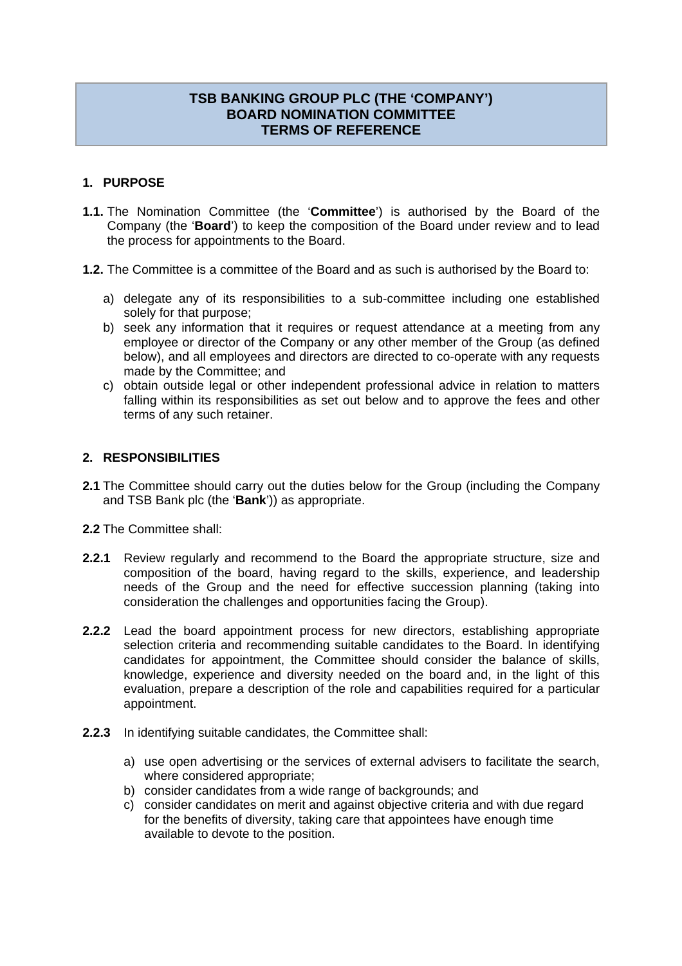# **TSB BANKING GROUP PLC (THE 'COMPANY') BOARD NOMINATION COMMITTEE TERMS OF REFERENCE**

## **1. PURPOSE**

- **1.1.** The Nomination Committee (the '**Committee**') is authorised by the Board of the Company (the '**Board**') to keep the composition of the Board under review and to lead the process for appointments to the Board.
- **1.2.** The Committee is a committee of the Board and as such is authorised by the Board to:
	- a) delegate any of its responsibilities to a sub-committee including one established solely for that purpose;
	- b) seek any information that it requires or request attendance at a meeting from any employee or director of the Company or any other member of the Group (as defined below), and all employees and directors are directed to co-operate with any requests made by the Committee; and
	- c) obtain outside legal or other independent professional advice in relation to matters falling within its responsibilities as set out below and to approve the fees and other terms of any such retainer.

## **2. RESPONSIBILITIES**

- **2.1** The Committee should carry out the duties below for the Group (including the Company and TSB Bank plc (the '**Bank**')) as appropriate.
- **2.2** The Committee shall:
- **2.2.1** Review regularly and recommend to the Board the appropriate structure, size and composition of the board, having regard to the skills, experience, and leadership needs of the Group and the need for effective succession planning (taking into consideration the challenges and opportunities facing the Group).
- **2.2.2** Lead the board appointment process for new directors, establishing appropriate selection criteria and recommending suitable candidates to the Board. In identifying candidates for appointment, the Committee should consider the balance of skills, knowledge, experience and diversity needed on the board and, in the light of this evaluation, prepare a description of the role and capabilities required for a particular appointment.
- **2.2.3** In identifying suitable candidates, the Committee shall:
	- a) use open advertising or the services of external advisers to facilitate the search, where considered appropriate;
	- b) consider candidates from a wide range of backgrounds; and
	- c) consider candidates on merit and against objective criteria and with due regard for the benefits of diversity, taking care that appointees have enough time available to devote to the position.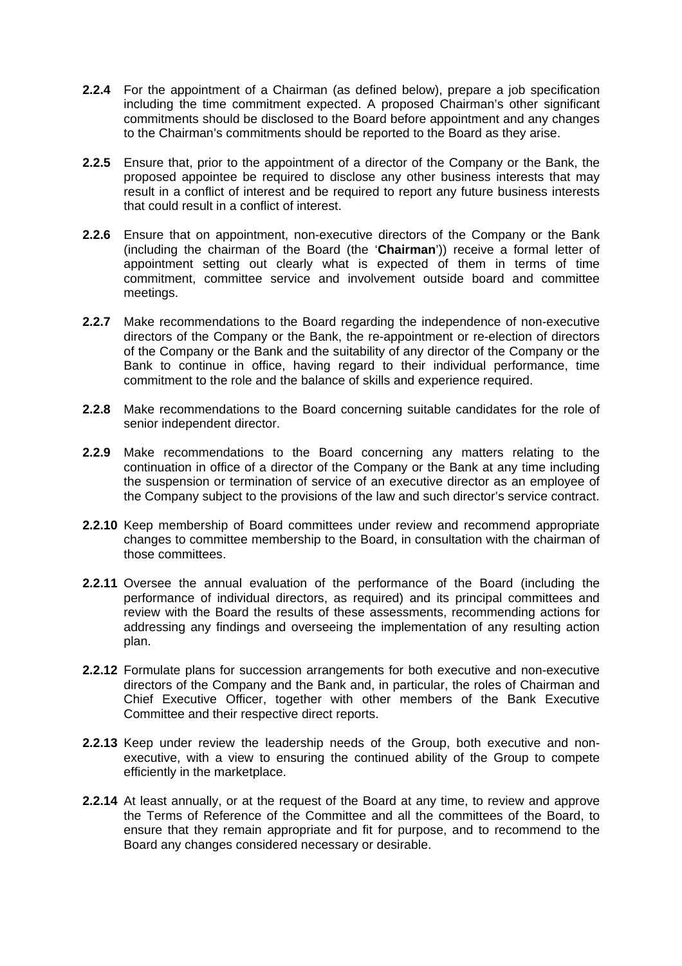- **2.2.4** For the appointment of a Chairman (as defined below), prepare a job specification including the time commitment expected. A proposed Chairman's other significant commitments should be disclosed to the Board before appointment and any changes to the Chairman's commitments should be reported to the Board as they arise.
- **2.2.5** Ensure that, prior to the appointment of a director of the Company or the Bank, the proposed appointee be required to disclose any other business interests that may result in a conflict of interest and be required to report any future business interests that could result in a conflict of interest.
- **2.2.6** Ensure that on appointment, non-executive directors of the Company or the Bank (including the chairman of the Board (the '**Chairman**')) receive a formal letter of appointment setting out clearly what is expected of them in terms of time commitment, committee service and involvement outside board and committee meetings.
- **2.2.7** Make recommendations to the Board regarding the independence of non-executive directors of the Company or the Bank, the re-appointment or re-election of directors of the Company or the Bank and the suitability of any director of the Company or the Bank to continue in office, having regard to their individual performance, time commitment to the role and the balance of skills and experience required.
- **2.2.8** Make recommendations to the Board concerning suitable candidates for the role of senior independent director.
- **2.2.9** Make recommendations to the Board concerning any matters relating to the continuation in office of a director of the Company or the Bank at any time including the suspension or termination of service of an executive director as an employee of the Company subject to the provisions of the law and such director's service contract.
- **2.2.10** Keep membership of Board committees under review and recommend appropriate changes to committee membership to the Board, in consultation with the chairman of those committees.
- **2.2.11** Oversee the annual evaluation of the performance of the Board (including the performance of individual directors, as required) and its principal committees and review with the Board the results of these assessments, recommending actions for addressing any findings and overseeing the implementation of any resulting action plan.
- **2.2.12** Formulate plans for succession arrangements for both executive and non-executive directors of the Company and the Bank and, in particular, the roles of Chairman and Chief Executive Officer, together with other members of the Bank Executive Committee and their respective direct reports.
- **2.2.13** Keep under review the leadership needs of the Group, both executive and nonexecutive, with a view to ensuring the continued ability of the Group to compete efficiently in the marketplace.
- **2.2.14** At least annually, or at the request of the Board at any time, to review and approve the Terms of Reference of the Committee and all the committees of the Board, to ensure that they remain appropriate and fit for purpose, and to recommend to the Board any changes considered necessary or desirable.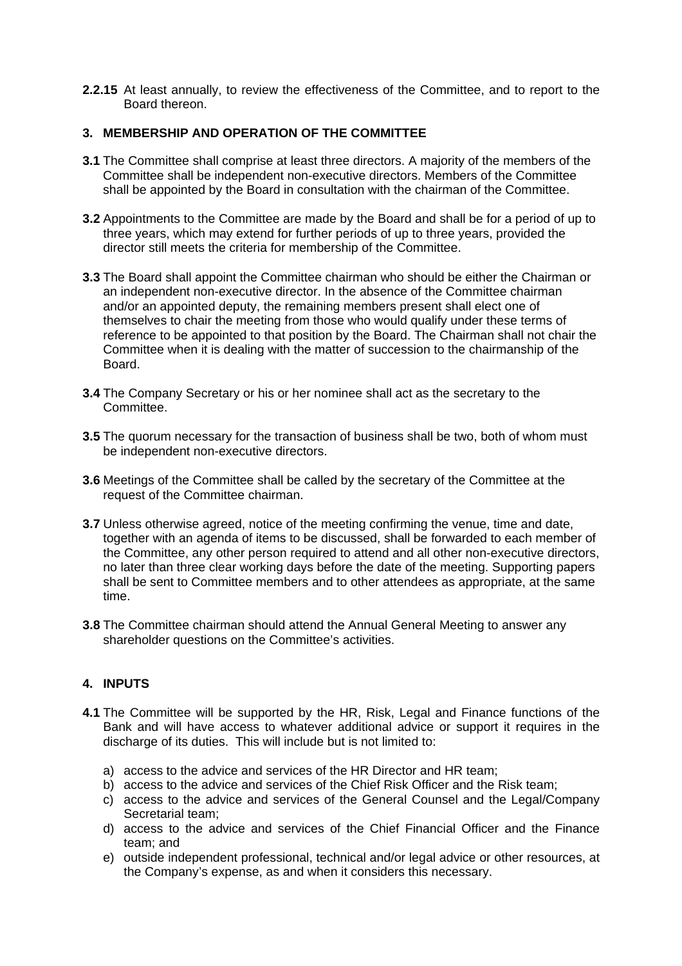**2.2.15** At least annually, to review the effectiveness of the Committee, and to report to the Board thereon.

## **3. MEMBERSHIP AND OPERATION OF THE COMMITTEE**

- **3.1** The Committee shall comprise at least three directors. A majority of the members of the Committee shall be independent non-executive directors. Members of the Committee shall be appointed by the Board in consultation with the chairman of the Committee.
- **3.2** Appointments to the Committee are made by the Board and shall be for a period of up to three years, which may extend for further periods of up to three years, provided the director still meets the criteria for membership of the Committee.
- **3.3** The Board shall appoint the Committee chairman who should be either the Chairman or an independent non-executive director. In the absence of the Committee chairman and/or an appointed deputy, the remaining members present shall elect one of themselves to chair the meeting from those who would qualify under these terms of reference to be appointed to that position by the Board. The Chairman shall not chair the Committee when it is dealing with the matter of succession to the chairmanship of the **Board**
- **3.4** The Company Secretary or his or her nominee shall act as the secretary to the Committee.
- **3.5** The quorum necessary for the transaction of business shall be two, both of whom must be independent non-executive directors.
- **3.6** Meetings of the Committee shall be called by the secretary of the Committee at the request of the Committee chairman.
- **3.7** Unless otherwise agreed, notice of the meeting confirming the venue, time and date, together with an agenda of items to be discussed, shall be forwarded to each member of the Committee, any other person required to attend and all other non-executive directors, no later than three clear working days before the date of the meeting. Supporting papers shall be sent to Committee members and to other attendees as appropriate, at the same time.
- **3.8** The Committee chairman should attend the Annual General Meeting to answer any shareholder questions on the Committee's activities.

## **4. INPUTS**

- **4.1** The Committee will be supported by the HR, Risk, Legal and Finance functions of the Bank and will have access to whatever additional advice or support it requires in the discharge of its duties. This will include but is not limited to:
	- a) access to the advice and services of the HR Director and HR team;
	- b) access to the advice and services of the Chief Risk Officer and the Risk team;
	- c) access to the advice and services of the General Counsel and the Legal/Company Secretarial team;
	- d) access to the advice and services of the Chief Financial Officer and the Finance team; and
	- e) outside independent professional, technical and/or legal advice or other resources, at the Company's expense, as and when it considers this necessary.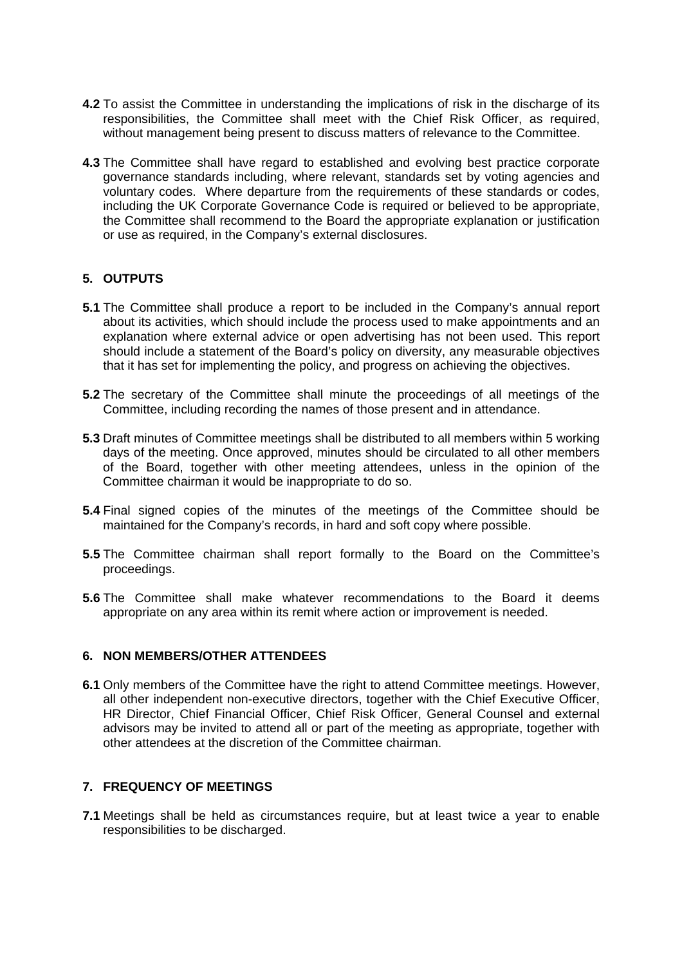- **4.2** To assist the Committee in understanding the implications of risk in the discharge of its responsibilities, the Committee shall meet with the Chief Risk Officer, as required, without management being present to discuss matters of relevance to the Committee.
- **4.3** The Committee shall have regard to established and evolving best practice corporate governance standards including, where relevant, standards set by voting agencies and voluntary codes. Where departure from the requirements of these standards or codes, including the UK Corporate Governance Code is required or believed to be appropriate, the Committee shall recommend to the Board the appropriate explanation or justification or use as required, in the Company's external disclosures.

## **5. OUTPUTS**

- **5.1** The Committee shall produce a report to be included in the Company's annual report about its activities, which should include the process used to make appointments and an explanation where external advice or open advertising has not been used. This report should include a statement of the Board's policy on diversity, any measurable objectives that it has set for implementing the policy, and progress on achieving the objectives.
- **5.2** The secretary of the Committee shall minute the proceedings of all meetings of the Committee, including recording the names of those present and in attendance.
- **5.3** Draft minutes of Committee meetings shall be distributed to all members within 5 working days of the meeting. Once approved, minutes should be circulated to all other members of the Board, together with other meeting attendees, unless in the opinion of the Committee chairman it would be inappropriate to do so.
- **5.4** Final signed copies of the minutes of the meetings of the Committee should be maintained for the Company's records, in hard and soft copy where possible.
- **5.5** The Committee chairman shall report formally to the Board on the Committee's proceedings.
- **5.6** The Committee shall make whatever recommendations to the Board it deems appropriate on any area within its remit where action or improvement is needed.

#### **6. NON MEMBERS/OTHER ATTENDEES**

**6.1** Only members of the Committee have the right to attend Committee meetings. However, all other independent non-executive directors, together with the Chief Executive Officer, HR Director, Chief Financial Officer, Chief Risk Officer, General Counsel and external advisors may be invited to attend all or part of the meeting as appropriate, together with other attendees at the discretion of the Committee chairman.

## **7. FREQUENCY OF MEETINGS**

**7.1** Meetings shall be held as circumstances require, but at least twice a year to enable responsibilities to be discharged.